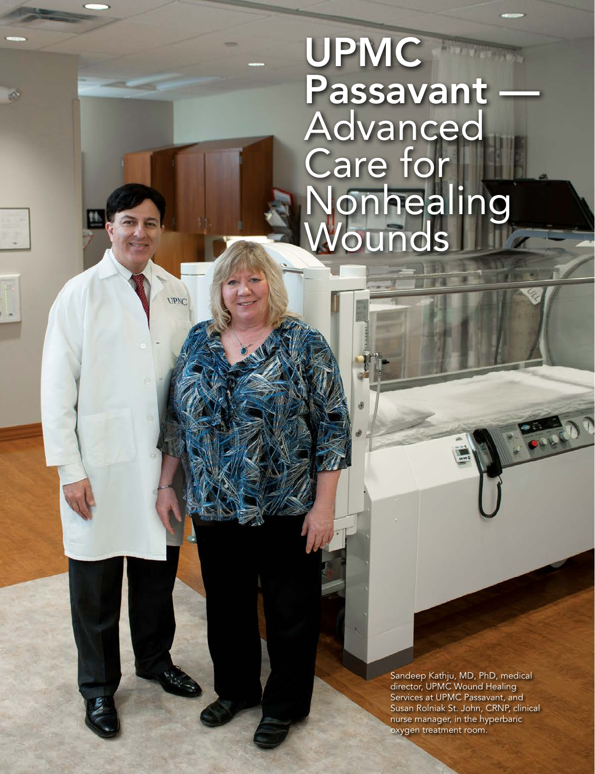UPMC Passavant — Advanced Care for Nonhealing **Wounds** 

> Sandeep Kathju, MD, PhD, medical director, UPMC Wound Healing Services at UPMC Passavant, and Susan Rolniak St. John, CRNP, clinical nurse manager, in the hyperbaric oxygen treatment room.

www.northhillsmonthly.com North Hills Monthly Magazine, November 2013 23

**UPNC**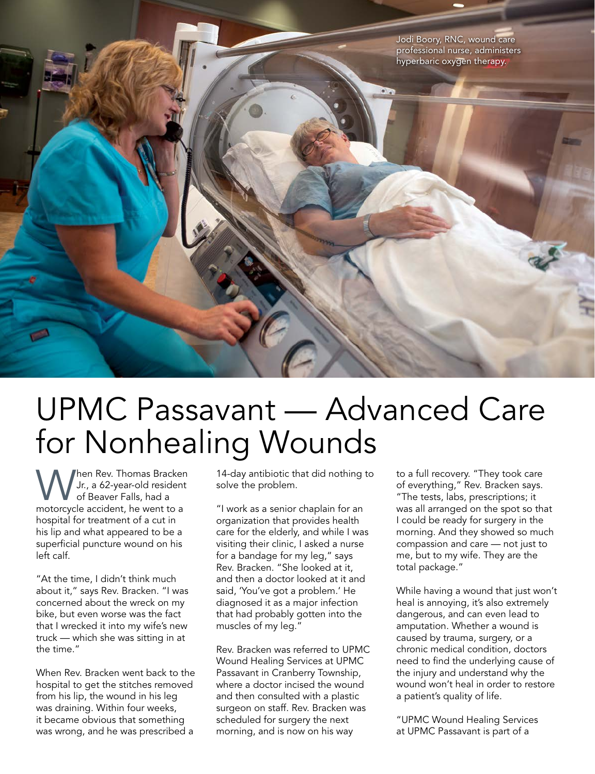Jodi Boory, RNC, wound care professional nurse, administers hyperbaric oxygen therapy.



When Rev. Thomas Bracken<br>
Jr., a 62-year-old resident<br>
motorcycle accident he went to a Jr., a 62-year-old resident of Beaver Falls, had a motorcycle accident, he went to a hospital for treatment of a cut in his lip and what appeared to be a superficial puncture wound on his left calf.

"At the time, I didn't think much about it," says Rev. Bracken. "I was concerned about the wreck on my bike, but even worse was the fact that I wrecked it into my wife's new truck — which she was sitting in at the time."

When Rev. Bracken went back to the hospital to get the stitches removed from his lip, the wound in his leg was draining. Within four weeks, it became obvious that something was wrong, and he was prescribed a

14-day antibiotic that did nothing to solve the problem.

"I work as a senior chaplain for an organization that provides health care for the elderly, and while I was visiting their clinic, I asked a nurse for a bandage for my leg," says Rev. Bracken. "She looked at it, and then a doctor looked at it and said, 'You've got a problem.' He diagnosed it as a major infection that had probably gotten into the muscles of my leg."

Rev. Bracken was referred to UPMC Wound Healing Services at UPMC Passavant in Cranberry Township, where a doctor incised the wound and then consulted with a plastic surgeon on staff. Rev. Bracken was scheduled for surgery the next morning, and is now on his way

to a full recovery. "They took care of everything," Rev. Bracken says. "The tests, labs, prescriptions; it was all arranged on the spot so that I could be ready for surgery in the morning. And they showed so much compassion and care — not just to me, but to my wife. They are the total package."

While having a wound that just won't heal is annoying, it's also extremely dangerous, and can even lead to amputation. Whether a wound is caused by trauma, surgery, or a chronic medical condition, doctors need to find the underlying cause of the injury and understand why the wound won't heal in order to restore a patient's quality of life.

"UPMC Wound Healing Services at UPMC Passavant is part of a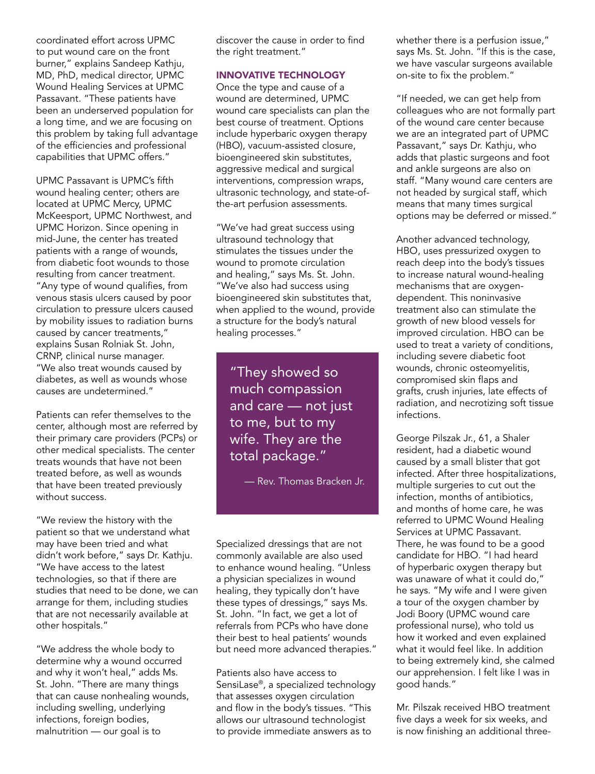coordinated effort across UPMC to put wound care on the front burner," explains Sandeep Kathju, MD, PhD, medical director, UPMC Wound Healing Services at UPMC Passavant. "These patients have been an underserved population for a long time, and we are focusing on this problem by taking full advantage of the efficiencies and professional capabilities that UPMC offers."

UPMC Passavant is UPMC's fifth wound healing center; others are located at UPMC Mercy, UPMC McKeesport, UPMC Northwest, and UPMC Horizon. Since opening in mid-June, the center has treated patients with a range of wounds, from diabetic foot wounds to those resulting from cancer treatment. "Any type of wound qualifies, from venous stasis ulcers caused by poor circulation to pressure ulcers caused by mobility issues to radiation burns caused by cancer treatments," explains Susan Rolniak St. John, CRNP, clinical nurse manager. "We also treat wounds caused by diabetes, as well as wounds whose causes are undetermined."

Patients can refer themselves to the center, although most are referred by their primary care providers (PCPs) or other medical specialists. The center treats wounds that have not been treated before, as well as wounds that have been treated previously without success.

"We review the history with the patient so that we understand what may have been tried and what didn't work before," says Dr. Kathju. "We have access to the latest technologies, so that if there are studies that need to be done, we can arrange for them, including studies that are not necessarily available at other hospitals."

"We address the whole body to determine why a wound occurred and why it won't heal," adds Ms. St. John. "There are many things that can cause nonhealing wounds, including swelling, underlying infections, foreign bodies, malnutrition — our goal is to

discover the cause in order to find the right treatment."

## INNOVATIVE TECHNOLOGY

Once the type and cause of a wound are determined, UPMC wound care specialists can plan the best course of treatment. Options include hyperbaric oxygen therapy (HBO), vacuum-assisted closure, bioengineered skin substitutes, aggressive medical and surgical interventions, compression wraps, ultrasonic technology, and state-ofthe-art perfusion assessments.

"We've had great success using ultrasound technology that stimulates the tissues under the wound to promote circulation and healing," says Ms. St. John. "We've also had success using bioengineered skin substitutes that, when applied to the wound, provide a structure for the body's natural healing processes."

"They showed so much compassion and care — not just to me, but to my wife. They are the total package."

— Rev. Thomas Bracken Jr.

Specialized dressings that are not commonly available are also used to enhance wound healing. "Unless a physician specializes in wound healing, they typically don't have these types of dressings," says Ms. St. John. "In fact, we get a lot of referrals from PCPs who have done their best to heal patients' wounds but need more advanced therapies."

Patients also have access to SensiLase®, a specialized technology that assesses oxygen circulation and flow in the body's tissues. "This allows our ultrasound technologist to provide immediate answers as to

whether there is a perfusion issue," says Ms. St. John. "If this is the case, we have vascular surgeons available on-site to fix the problem."

"If needed, we can get help from colleagues who are not formally part of the wound care center because we are an integrated part of UPMC Passavant," says Dr. Kathju, who adds that plastic surgeons and foot and ankle surgeons are also on staff. "Many wound care centers are not headed by surgical staff, which means that many times surgical options may be deferred or missed."

Another advanced technology, HBO, uses pressurized oxygen to reach deep into the body's tissues to increase natural wound-healing mechanisms that are oxygendependent. This noninvasive treatment also can stimulate the growth of new blood vessels for improved circulation. HBO can be used to treat a variety of conditions, including severe diabetic foot wounds, chronic osteomyelitis, compromised skin flaps and grafts, crush injuries, late effects of radiation, and necrotizing soft tissue infections.

George Pilszak Jr., 61, a Shaler resident, had a diabetic wound caused by a small blister that got infected. After three hospitalizations, multiple surgeries to cut out the infection, months of antibiotics, and months of home care, he was referred to UPMC Wound Healing Services at UPMC Passavant. There, he was found to be a good candidate for HBO. "I had heard of hyperbaric oxygen therapy but was unaware of what it could do," he says. "My wife and I were given a tour of the oxygen chamber by Jodi Boory (UPMC wound care professional nurse), who told us how it worked and even explained what it would feel like. In addition to being extremely kind, she calmed our apprehension. I felt like I was in good hands."

Mr. Pilszak received HBO treatment five days a week for six weeks, and is now finishing an additional three-